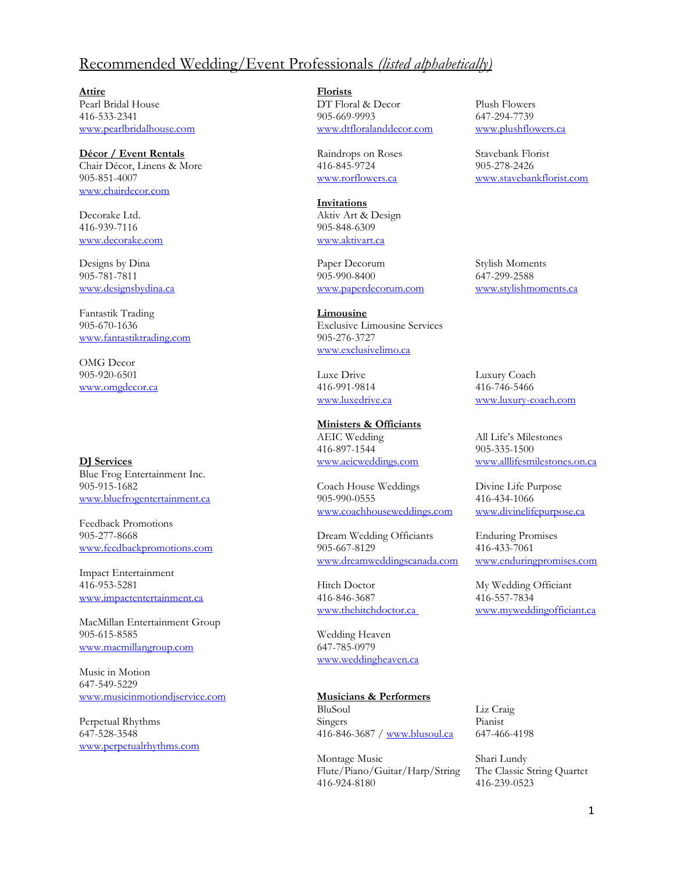## Recommended Wedding/Event Professionals *(listed alphabetically)*

**Attire Florists** 416-533-2341 905-669-9993 647-294-7739 [www.pearlbridalhouse.com](http://www.pearlbridalhouse.com/) [www.dtfloralanddecor.com](http://www.dtfloralanddecor.com/)

## **Décor / Event Rentals** Raindrops on Roses Stavebank Florist

Chair Décor, Linens & More 416-845-9724 905-851-4007<br>
905-851-4007 www.rorflowers.ca www.staveban 905-851-4007 [www.rorflowers.ca](http://www.rorflowers.ca/) [www.stavebankflorist.com](http://www.stavebankflorist.com/) [www.chairdecor.com](http://www.chairdecor.com/)

Decorake Ltd. Aktiv Art & Design 416-939-7116 905-848-6309 [www.decorake.com](http://www.decorake.com/) [www.aktivart.ca](http://www.aktivart.ca/)

Fantastik Trading **Limousine** [www.fantastiktrading.com](http://www.fantastiktrading.com/) 905-276-3727

OMG Decor 905-920-6501 Luxe Drive Luxury Coach [www.omgdecor.ca](http://www.omgdecor.ca/) 416-991-9814 416-746-5466

**DJ Services** [www.aeicweddings.com](http://www.aeicweddings.com/) [www.alllifesmilestones.on.ca](http://www.alllifesmilestones.on.ca/) Blue Frog Entertainment Inc. 905-915-1682 Coach House Weddings Divine Life Purpose

Feedback Promotions

Impact Entertainment 416-953-5281 Hitch Doctor My Wedding Officiant [www.impactentertainment.ca](http://www.impactentertainment.ca/) 416-846-3687 416-557-7834

MacMillan Entertainment Group 905-615-8585 Wedding Heaven [www.macmillangroup.com](http://www.macmillangroup.com/) 647-785-0979

Music in Motion 647-549-5229 [www.musicinmotiondjservice.com](http://www.musicinmotiondjservice.com/) **Musicians & Performers**

[www.perpetualrhythms.com](http://www.perpetualrhythms.com/)

DT Floral & Decor Plush Flowers

**Invitations**

Designs by Dina Paper Decorum Stylish Moments 905-781-7811 905-990-8400 647-299-2588 [www.designsbydina.ca](http://www.designsbydina.ca/) [www.paperdecorum.com](http://www.paperdecorum.com/) [www.stylishmoments.ca](http://www.stylishmoments.ca/)

905-670-1636 Exclusive Limousine Services [www.exclusivelimo.ca](http://www.exclusivelimo.ca/)

## **Ministers & Officiants**

AEIC Wedding All Life's Milestones 416-897-1544 905-335-1500

[www.bluefrogentertainment.ca](http://www.bluefrogentertainment.ca/) 905-990-0555 416-434-1066 [www.coachhouseweddings.com](http://www.coachhouseweddings.com/) [www.divinelifepurpose.ca](http://www.divinelifepurpose.ca/)

905-277-8668 Dream Wedding Officiants Enduring Promises [www.feedbackpromotions.com](http://www.feedbackpromotions.com/) 905-667-8129 416-433-7061 [www.dreamweddingscanada.com](http://www.dreamweddingscanada.com/) [www.enduringpromises.com](http://www.enduringpromises.com/)

[www.weddingheaven.ca](http://www.weddingheaven.ca/)

BluSoul Liz Craig Perpetual Rhythms Singers Pianist 647-528-3548 416-846-3687 / [www.blusoul.ca](http://www.blusoul.ca/) 647-466-4198

> Montage Music Shari Lundy Flute/Piano/Guitar/Harp/String The Classic String Quartet 416-924-8180 416-239-0523

[www.luxedrive.ca](http://www.luxedrive.ca/) [www.luxury-coach.com](http://www.luxury-coach.com/)

[www.thehitchdoctor.ca](http://www.thehitchdoctor.ca/) [www.myweddingofficiant.ca](http://www.myweddingofficiant.ca/)